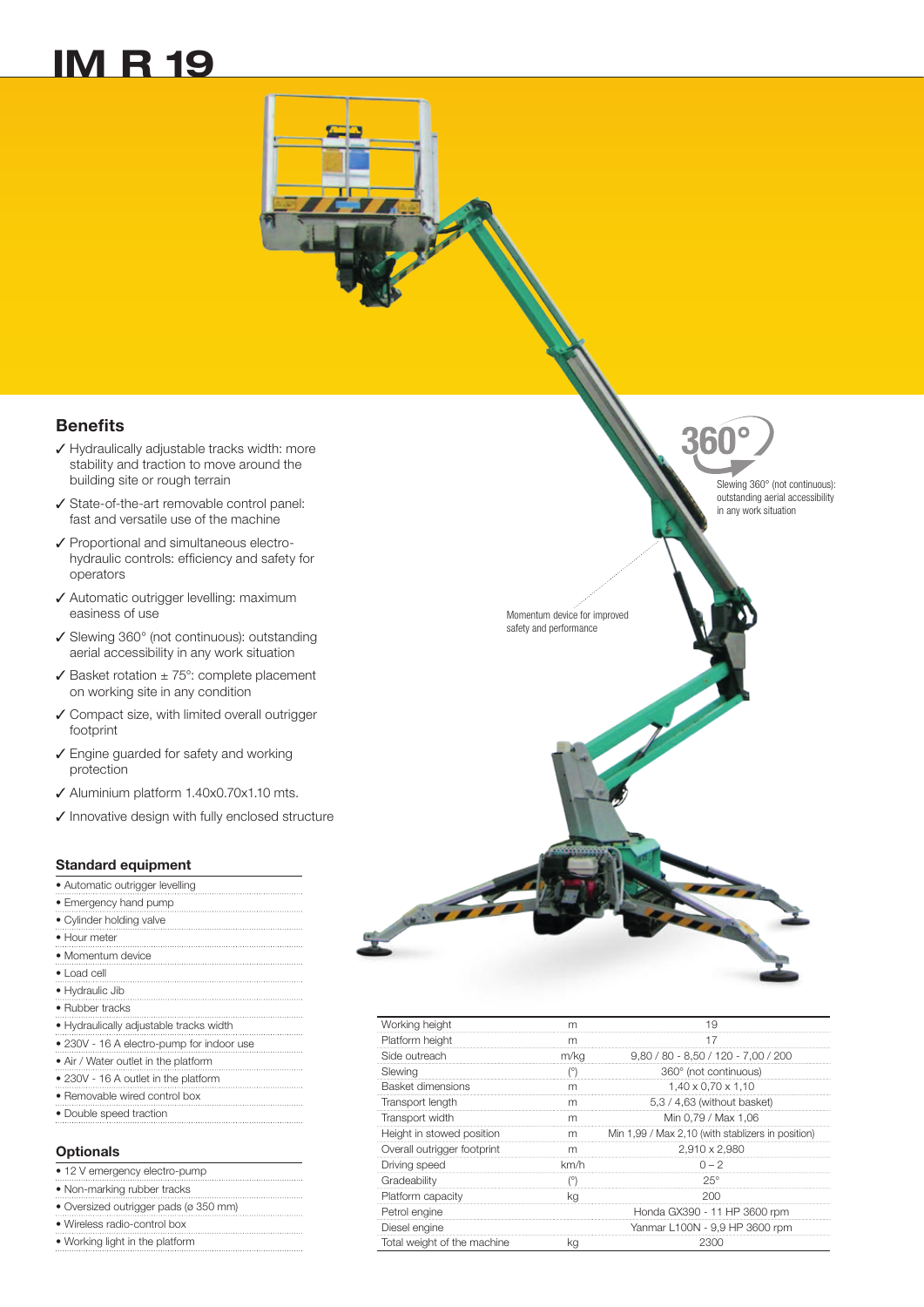## IM R 19

**Benefits** 

- ✓ Hydraulically adjustable tracks width: more stability and traction to move around the building site or rough terrain
- ✓ State-of-the-art removable control panel: fast and versatile use of the machine
- ✓ Proportional and simultaneous electrohydraulic controls: efficiency and safety for operators
- ✓ Automatic outrigger levelling: maximum easiness of use
- ✓ Slewing 360° (not continuous): outstanding aerial accessibility in any work situation
- ✓ Basket rotation ± 75°: complete placement on working site in any condition
- ✓ Compact size, with limited overall outrigger footprint
- ✓ Engine guarded for safety and working protection
- ✓ Aluminium platform 1.40x0.70x1.10 mts.
- ✓ Innovative design with fully enclosed structure

## Standard equipment

| • Automatic outrigger levelling           |
|-------------------------------------------|
| • Emergency hand pump                     |
| • Cylinder holding valve                  |
| • Hour meter                              |
| • Momentum device                         |
| $\bullet$ Load cell                       |
| • Hydraulic Jib                           |
| • Rubber tracks                           |
| • Hydraulically adjustable tracks width   |
| • 230V - 16 A electro-pump for indoor use |
| • Air / Water outlet in the platform      |
| • 230V - 16 A outlet in the platform      |
| • Removable wired control box             |
| • Double speed traction                   |
|                                           |

## **Optionals**

| • 12 V emergency electro-pump         |
|---------------------------------------|
| • Non-marking rubber tracks           |
| · Oversized outrigger pads (ø 350 mm) |
| • Wireless radio-control box          |
| • Working light in the platform       |
|                                       |

|                              | 360°                                                                                        |
|------------------------------|---------------------------------------------------------------------------------------------|
|                              | Slewing 360° (not continuous):<br>outstanding aerial accessibility<br>in any work situation |
|                              |                                                                                             |
| vice for improved<br>ormance |                                                                                             |

Z

Momentum dev safety and perfo

| Working height              |      | 1 Q                                               |
|-----------------------------|------|---------------------------------------------------|
| Platform height             | m    |                                                   |
| Side outreach               | m/kg | $9,80 / 80 - 8,50 / 120 - 7,00 / 200$             |
| Slewing                     |      | 360° (not continuous)                             |
| Basket dimensions           | m    | $1,40 \times 0,70 \times 1,10$                    |
| Transport length            |      | 5,3 / 4,63 (without basket)                       |
| Transport width             |      | Min 0,79 / Max 1,06                               |
| Height in stowed position   | m    | Min 1,99 / Max 2,10 (with stablizers in position) |
| Overall outrigger footprint |      | 2,910 x 2,980                                     |
| Driving speed               | km/h | $0 - 2$                                           |
| Gradeability                |      | 25°                                               |
| Platform capacity           |      |                                                   |
| Petrol engine               |      | Honda GX390 - 11 HP 3600 rpm                      |
| Diesel engine               |      | Yanmar L100N - 9,9 HP 3600 rpm                    |
| Total weight of the machine |      |                                                   |